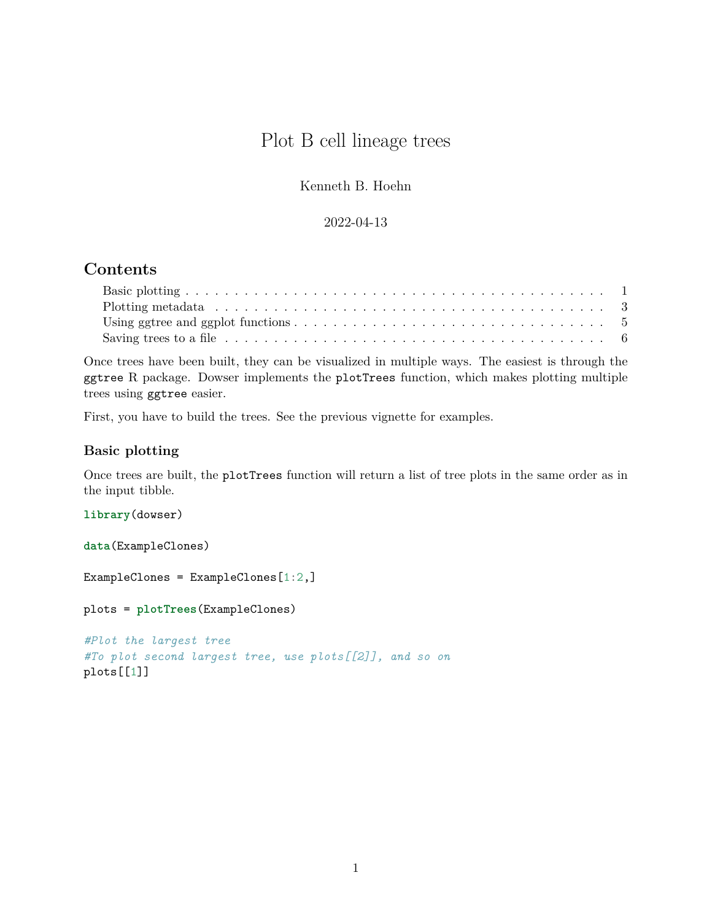# Plot B cell lineage trees

Kenneth B. Hoehn

#### 2022-04-13

## **Contents**

| Saving trees to a file $\dots \dots \dots \dots \dots \dots \dots \dots \dots \dots \dots \dots \dots \dots \dots \dots \dots \dots$ |  |
|--------------------------------------------------------------------------------------------------------------------------------------|--|

Once trees have been built, they can be visualized in multiple ways. The easiest is through the ggtree R package. Dowser implements the plotTrees function, which makes plotting multiple trees using ggtree easier.

First, you have to build the trees. See the previous vignette for examples.

#### <span id="page-0-0"></span>**Basic plotting**

Once trees are built, the plotTrees function will return a list of tree plots in the same order as in the input tibble.

**library**(dowser)

**data**(ExampleClones)

ExampleClones = ExampleClones[1:2,]

plots = **plotTrees**(ExampleClones)

```
#Plot the largest tree
#To plot second largest tree, use plots[[2]], and so on
plots[[1]]
```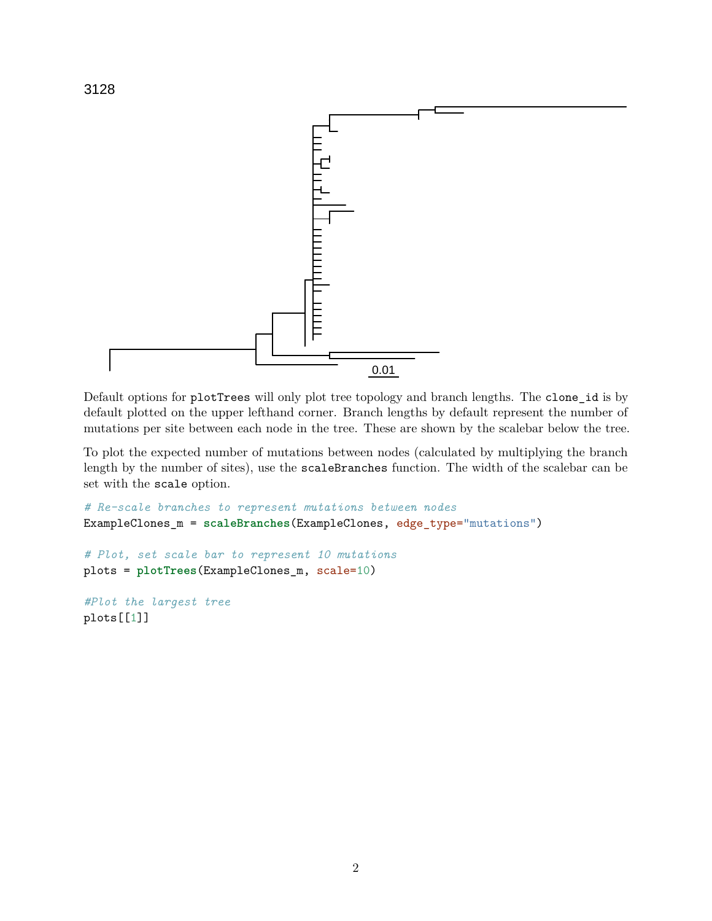

Default options for plotTrees will only plot tree topology and branch lengths. The clone\_id is by default plotted on the upper lefthand corner. Branch lengths by default represent the number of mutations per site between each node in the tree. These are shown by the scalebar below the tree.

To plot the expected number of mutations between nodes (calculated by multiplying the branch length by the number of sites), use the scaleBranches function. The width of the scalebar can be set with the scale option.

```
# Re-scale branches to represent mutations between nodes
ExampleClones_m = scaleBranches(ExampleClones, edge_type="mutations")
# Plot, set scale bar to represent 10 mutations
plots = plotTrees(ExampleClones_m, scale=10)
#Plot the largest tree
```
plots[[1]]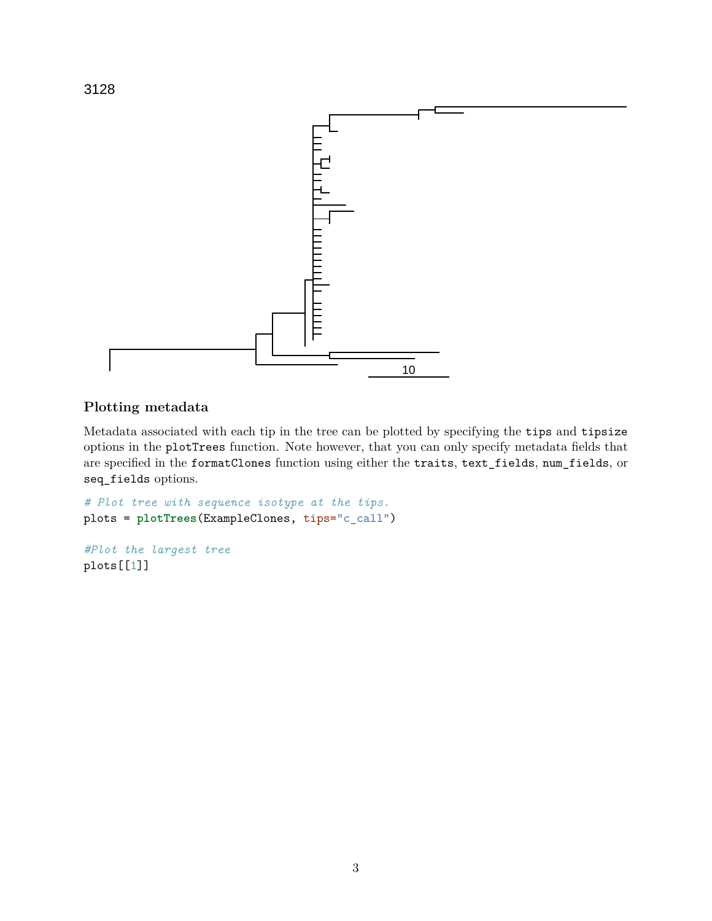

### <span id="page-2-0"></span>**Plotting metadata**

Metadata associated with each tip in the tree can be plotted by specifying the tips and tipsize options in the plotTrees function. Note however, that you can only specify metadata fields that are specified in the formatClones function using either the traits, text\_fields, num\_fields, or seq\_fields options.

```
# Plot tree with sequence isotype at the tips.
plots = plotTrees(ExampleClones, tips="c_call")
```

```
#Plot the largest tree
plots[[1]]
```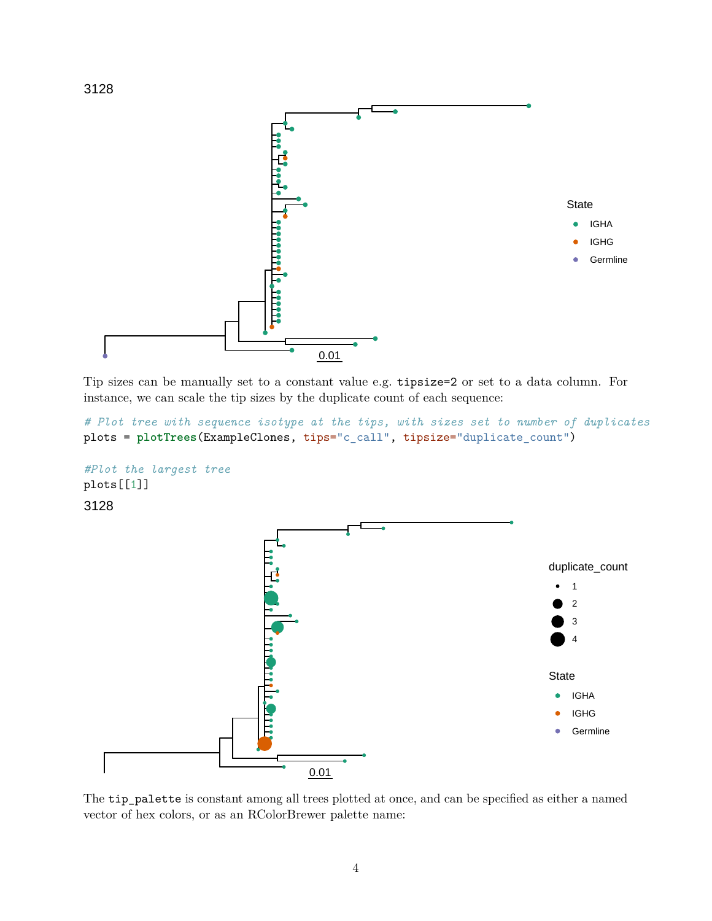

Tip sizes can be manually set to a constant value e.g. tipsize=2 or set to a data column. For instance, we can scale the tip sizes by the duplicate count of each sequence:

```
# Plot tree with sequence isotype at the tips, with sizes set to number of duplicates
plots = plotTrees(ExampleClones, tips="c_call", tipsize="duplicate_count")
```




The tip\_palette is constant among all trees plotted at once, and can be specified as either a named vector of hex colors, or as an RColorBrewer palette name: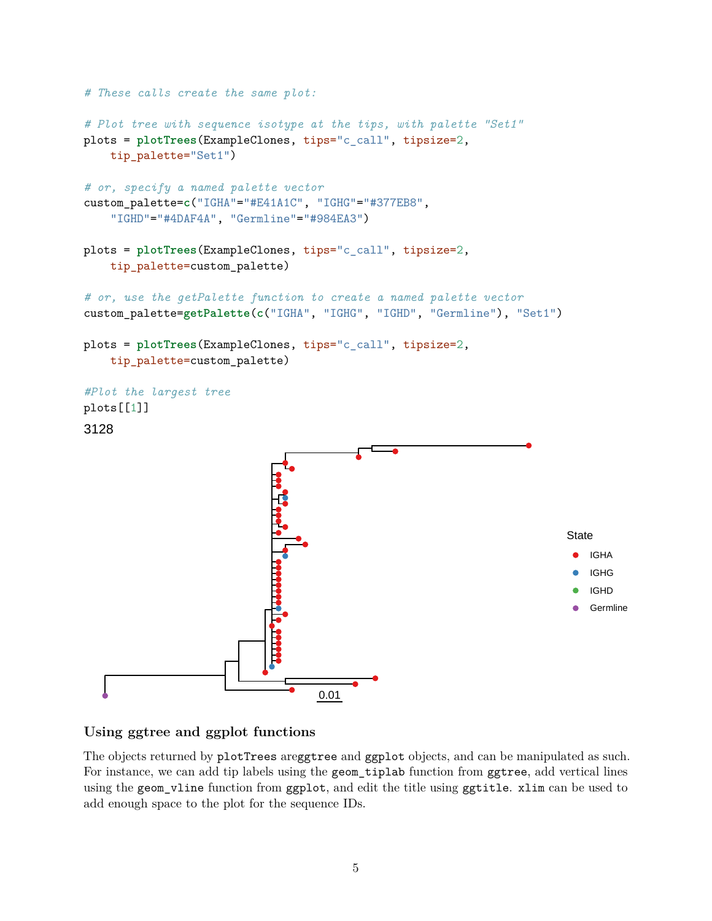

#### <span id="page-4-0"></span>**Using ggtree and ggplot functions**

The objects returned by plotTrees areggtree and ggplot objects, and can be manipulated as such. For instance, we can add tip labels using the geom\_tiplab function from ggtree, add vertical lines using the geom\_vline function from ggplot, and edit the title using ggtitle. xlim can be used to add enough space to the plot for the sequence IDs.